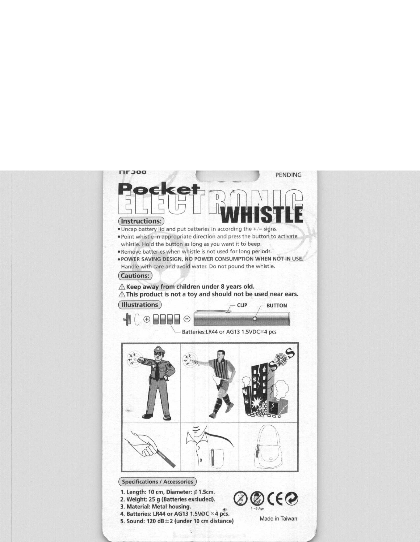